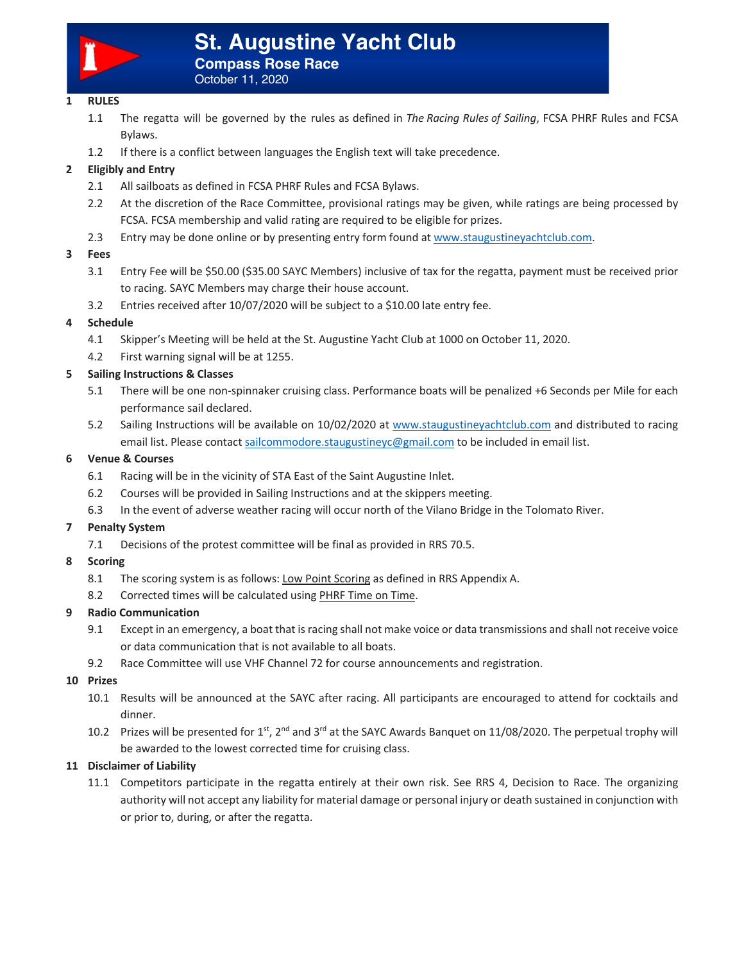

# **St. Augustine Yacht Club Compass Rose Race**

October 11, 2020

# **1 RULES**

- 1.1 The regatta will be governed by the rules as defined in *The Racing Rules of Sailing*, FCSA PHRF Rules and FCSA Bylaws.
- 1.2 If there is a conflict between languages the English text will take precedence.

# **2 Eligibly and Entry**

- 2.1 All sailboats as defined in FCSA PHRF Rules and FCSA Bylaws.
- 2.2 At the discretion of the Race Committee, provisional ratings may be given, while ratings are being processed by FCSA. FCSA membership and valid rating are required to be eligible for prizes.
- 2.3 Entry may be done online or by presenting entry form found at www.staugustineyachtclub.com.

## **3 Fees**

- 3.1 Entry Fee will be \$50.00 (\$35.00 SAYC Members) inclusive of tax for the regatta, payment must be received prior to racing. SAYC Members may charge their house account.
- 3.2 Entries received after 10/07/2020 will be subject to a \$10.00 late entry fee.

## **4 Schedule**

- 4.1 Skipper's Meeting will be held at the St. Augustine Yacht Club at 1000 on October 11, 2020.
- 4.2 First warning signal will be at 1255.

## **5 Sailing Instructions & Classes**

- 5.1 There will be one non-spinnaker cruising class. Performance boats will be penalized +6 Seconds per Mile for each performance sail declared.
- 5.2 Sailing Instructions will be available on 10/02/2020 at www.staugustineyachtclub.com and distributed to racing email list. Please contact sailcommodore.staugustineyc@gmail.com to be included in email list.

#### **6 Venue & Courses**

- 6.1 Racing will be in the vicinity of STA East of the Saint Augustine Inlet.
- 6.2 Courses will be provided in Sailing Instructions and at the skippers meeting.
- 6.3 In the event of adverse weather racing will occur north of the Vilano Bridge in the Tolomato River.

# **7 Penalty System**

7.1 Decisions of the protest committee will be final as provided in RRS 70.5.

#### **8 Scoring**

- 8.1 The scoring system is as follows: Low Point Scoring as defined in RRS Appendix A.
- 8.2 Corrected times will be calculated using PHRF Time on Time.

#### **9 Radio Communication**

- 9.1 Except in an emergency, a boat that is racing shall not make voice or data transmissions and shall not receive voice or data communication that is not available to all boats.
- 9.2 Race Committee will use VHF Channel 72 for course announcements and registration.

#### **10 Prizes**

- 10.1 Results will be announced at the SAYC after racing. All participants are encouraged to attend for cocktails and dinner.
- 10.2 Prizes will be presented for  $1^{st}$ ,  $2^{nd}$  and  $3^{rd}$  at the SAYC Awards Banquet on 11/08/2020. The perpetual trophy will be awarded to the lowest corrected time for cruising class.

#### **11 Disclaimer of Liability**

11.1 Competitors participate in the regatta entirely at their own risk. See RRS 4, Decision to Race. The organizing authority will not accept any liability for material damage or personal injury or death sustained in conjunction with or prior to, during, or after the regatta.